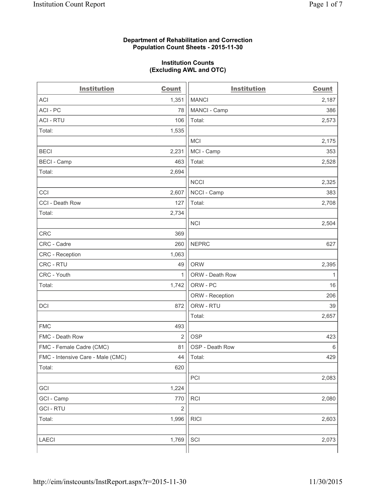## **Department of Rehabilitation and Correction Population Count Sheets - 2015-11-30**

#### **Institution Counts (Excluding AWL and OTC)**

| <b>Institution</b>                | <b>Count</b>   | <b>Institution</b> | <b>Count</b> |
|-----------------------------------|----------------|--------------------|--------------|
| <b>ACI</b>                        | 1,351          | <b>MANCI</b>       | 2,187        |
| ACI - PC                          | 78             | MANCI - Camp       | 386          |
| <b>ACI - RTU</b>                  | 106            | Total:             | 2,573        |
| Total:                            | 1,535          |                    |              |
|                                   |                | <b>MCI</b>         | 2,175        |
| <b>BECI</b>                       | 2,231          | MCI - Camp         | 353          |
| <b>BECI</b> - Camp                | 463            | Total:             | 2,528        |
| Total:                            | 2,694          |                    |              |
|                                   |                | <b>NCCI</b>        | 2,325        |
| CCI                               | 2,607          | NCCI - Camp        | 383          |
| CCI - Death Row                   | 127            | Total:             | 2,708        |
| Total:                            | 2,734          |                    |              |
|                                   |                | <b>NCI</b>         | 2,504        |
| <b>CRC</b>                        | 369            |                    |              |
| CRC - Cadre                       | 260            | <b>NEPRC</b>       | 627          |
| CRC - Reception                   | 1,063          |                    |              |
| CRC - RTU                         | 49             | <b>ORW</b>         | 2,395        |
| CRC - Youth                       | $\mathbf{1}$   | ORW - Death Row    | $\mathbf{1}$ |
| Total:                            | 1,742          | ORW - PC           | 16           |
|                                   |                | ORW - Reception    | 206          |
| DCI                               | 872            | ORW - RTU          | 39           |
|                                   |                | Total:             | 2,657        |
| <b>FMC</b>                        | 493            |                    |              |
| FMC - Death Row                   | $\overline{2}$ | <b>OSP</b>         | 423          |
| FMC - Female Cadre (CMC)          | 81             | OSP - Death Row    | 6            |
| FMC - Intensive Care - Male (CMC) | 44             | Total:             | 429          |
| Total:                            | 620            |                    |              |
|                                   |                | PCI                | 2,083        |
| GCI                               | 1,224          |                    |              |
| GCI - Camp                        | 770            | <b>RCI</b>         | 2,080        |
| <b>GCI - RTU</b>                  | $\mathbf 2$    |                    |              |
| Total:                            | 1,996          | <b>RICI</b>        | 2,603        |
|                                   |                |                    |              |
| LAECI                             | 1,769          | SCI                | 2,073        |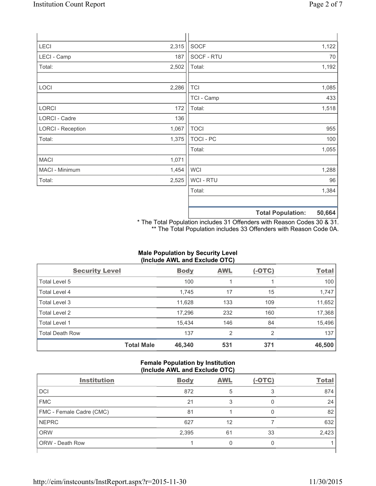| LECI                     | 2,315 | SOCF             |                          | 1,122  |
|--------------------------|-------|------------------|--------------------------|--------|
| LECI - Camp              | 187   | SOCF - RTU       |                          | 70     |
| Total:                   | 2,502 | Total:           |                          | 1,192  |
|                          |       |                  |                          |        |
| LOCI                     | 2,286 | <b>TCI</b>       |                          | 1,085  |
|                          |       | TCI - Camp       |                          | 433    |
| LORCI                    | 172   | Total:           |                          | 1,518  |
| LORCI - Cadre            | 136   |                  |                          |        |
| <b>LORCI - Reception</b> | 1,067 | <b>TOCI</b>      |                          | 955    |
| Total:                   | 1,375 | <b>TOCI - PC</b> |                          | 100    |
|                          |       | Total:           |                          | 1,055  |
| <b>MACI</b>              | 1,071 |                  |                          |        |
| MACI - Minimum           | 1,454 | <b>WCI</b>       |                          | 1,288  |
| Total:                   | 2,525 | <b>WCI-RTU</b>   |                          | 96     |
|                          |       | Total:           |                          | 1,384  |
|                          |       |                  |                          |        |
|                          |       |                  | <b>Total Population:</b> | 50,664 |

\* The Total Population includes 31 Offenders with Reason Codes 30 & 31. \*\* The Total Population includes 33 Offenders with Reason Code 0A.

# **Male Population by Security Level (Include AWL and Exclude OTC)**

| <b>Security Level</b>  |                   | <b>Body</b> | <b>AWL</b> | $(-OTC)$ | <b>Total</b> |
|------------------------|-------------------|-------------|------------|----------|--------------|
| Total Level 5          |                   | 100         |            |          | 100          |
| Total Level 4          |                   | 1,745       | 17         | 15       | 1,747        |
| Total Level 3          |                   | 11,628      | 133        | 109      | 11,652       |
| Total Level 2          |                   | 17,296      | 232        | 160      | 17,368       |
| Total Level 1          |                   | 15.434      | 146        | 84       | 15,496       |
| <b>Total Death Row</b> |                   | 137         | 2          | 2        | 137          |
|                        | <b>Total Male</b> | 46,340      | 531        | 371      | 46,500       |

## **Female Population by Institution (Include AWL and Exclude OTC)**

| $\frac{1}{2}$            |             |            |          |              |
|--------------------------|-------------|------------|----------|--------------|
| <b>Institution</b>       | <b>Body</b> | <b>AWL</b> | $(-OTC)$ | <b>Total</b> |
| <b>DCI</b>               | 872         | 5          |          | 874          |
| <b>FMC</b>               | 21          |            |          | 24           |
| FMC - Female Cadre (CMC) | 81          |            |          | 82           |
| <b>NEPRC</b>             | 627         | 12         |          | 632          |
| <b>ORW</b>               | 2,395       | 61         | 33       | 2,423        |
| ORW - Death Row          |             |            |          |              |
|                          |             |            |          |              |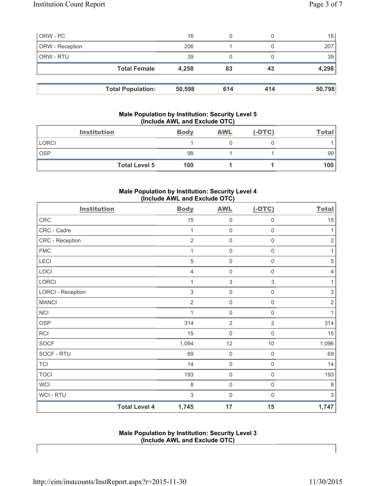| ORW - PC        |                          | 16     | 0   |     | 16     |
|-----------------|--------------------------|--------|-----|-----|--------|
| ORW - Reception |                          | 206    |     |     | 207    |
| ORW - RTU       |                          | 39     | 0   |     | 39     |
|                 | <b>Total Female</b>      | 4,258  | 83  | 43  | 4,298  |
|                 |                          |        |     |     |        |
|                 | <b>Total Population:</b> | 50,598 | 614 | 414 | 50,798 |

## **Male Population by Institution: Security Level 5 (Include AWL and Exclude OTC)**

| <b>Institution</b>   | <b>Body</b> | <b>AWL</b> | $(-OTC)$ | <b>Total</b> |
|----------------------|-------------|------------|----------|--------------|
| <b>LORCI</b>         |             |            |          |              |
| <b>OSP</b>           | 99          |            |          | 99           |
| <b>Total Level 5</b> | 100         |            |          | 100          |

# **Male Population by Institution: Security Level 4 (Include AWL and Exclude OTC)**

| <b>Institution</b>       |                      | <b>Body</b>    | <b>AWL</b>          | $(-OTC)$            | <b>Total</b>              |
|--------------------------|----------------------|----------------|---------------------|---------------------|---------------------------|
| <b>CRC</b>               |                      | 15             | 0                   | $\mathsf{0}$        | 15                        |
| CRC - Cadre              |                      | 1              | $\mathbf 0$         | $\mathsf{O}\xspace$ | 1                         |
| CRC - Reception          |                      | $\overline{2}$ | 0                   | $\boldsymbol{0}$    | $\sqrt{2}$                |
| <b>FMC</b>               |                      | 1              | $\mathbf 0$         | $\boldsymbol{0}$    | 1                         |
| LECI                     |                      | $\sqrt{5}$     | $\mathbf 0$         | $\mathsf{O}\xspace$ | $\sqrt{5}$                |
| LOCI                     |                      | $\overline{4}$ | $\mathbf 0$         | $\mathsf{0}$        | $\overline{4}$            |
| <b>LORCI</b>             |                      | 1              | $\mathfrak{S}$      | $\mathsf 3$         | 1                         |
| <b>LORCI - Reception</b> |                      | $\mathsf 3$    | $\mathsf{O}\xspace$ | $\mathsf{O}\xspace$ | $\ensuremath{\mathsf{3}}$ |
| <b>MANCI</b>             |                      | $\overline{2}$ | $\mathsf 0$         | $\mathsf{O}\xspace$ | $\sqrt{2}$                |
| <b>NCI</b>               |                      | 1              | $\mathbf 0$         | $\mathsf{O}\xspace$ | 1                         |
| <b>OSP</b>               |                      | 314            | $\overline{2}$      | $\overline{2}$      | 314                       |
| <b>RCI</b>               |                      | 15             | $\mathbf 0$         | $\mathbf 0$         | 15                        |
| <b>SOCF</b>              |                      | 1,094          | 12                  | $10$                | 1,096                     |
| SOCF - RTU               |                      | 69             | $\mathbf 0$         | $\mathsf{O}\xspace$ | 69                        |
| <b>TCI</b>               |                      | 14             | $\mathsf 0$         | $\mathsf{O}\xspace$ | 14                        |
| <b>TOCI</b>              |                      | 193            | $\mathbf 0$         | $\mathbf 0$         | 193                       |
| <b>WCI</b>               |                      | 8              | $\mathbf 0$         | $\mathsf 0$         | 8                         |
| WCI - RTU                |                      | 3              | $\mathbf 0$         | $\mathbf 0$         | 3                         |
|                          | <b>Total Level 4</b> | 1,745          | 17                  | 15                  | 1,747                     |

**Male Population by Institution: Security Level 3 (Include AWL and Exclude OTC)**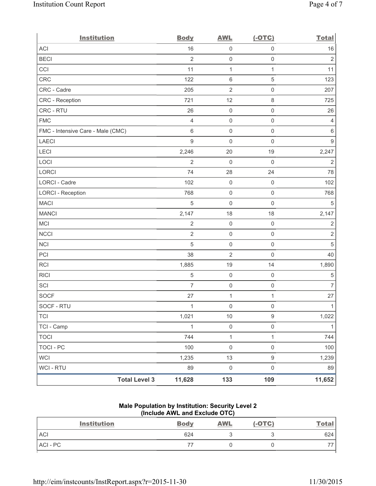| <b>Institution</b>                | <b>Body</b>    | <b>AWL</b>          | $(-OTC)$            | <b>Total</b>     |
|-----------------------------------|----------------|---------------------|---------------------|------------------|
| <b>ACI</b>                        | 16             | $\mathsf{O}\xspace$ | $\mathsf{O}\xspace$ | 16               |
| <b>BECI</b>                       | $\overline{2}$ | $\mathsf{O}\xspace$ | $\mathsf{O}\xspace$ | $\sqrt{2}$       |
| CCI                               | 11             | $\mathbf{1}$        | $\mathbf{1}$        | 11               |
| CRC                               | 122            | $\,6\,$             | $\mathbf 5$         | 123              |
| CRC - Cadre                       | 205            | $\mathbf 2$         | $\mathsf{O}\xspace$ | 207              |
| CRC - Reception                   | 721            | 12                  | $\,8\,$             | 725              |
| CRC - RTU                         | 26             | $\mathbf 0$         | $\mathsf{O}\xspace$ | 26               |
| <b>FMC</b>                        | $\overline{4}$ | $\mathsf{O}\xspace$ | $\mathsf 0$         | $\overline{4}$   |
| FMC - Intensive Care - Male (CMC) | 6              | $\mathbf 0$         | $\mathsf{O}\xspace$ | 6                |
| <b>LAECI</b>                      | 9              | $\mathsf{O}\xspace$ | $\mathsf{O}\xspace$ | $\boldsymbol{9}$ |
| LECI                              | 2,246          | 20                  | 19                  | 2,247            |
| LOCI                              | $\overline{2}$ | $\mathbf 0$         | $\mathbf 0$         | $\overline{2}$   |
| LORCI                             | 74             | 28                  | 24                  | 78               |
| <b>LORCI - Cadre</b>              | 102            | $\mathbf 0$         | $\mathsf{O}\xspace$ | 102              |
| <b>LORCI - Reception</b>          | 768            | $\mathbf 0$         | $\mathsf{O}\xspace$ | 768              |
| <b>MACI</b>                       | 5              | $\mathsf{O}\xspace$ | $\mathsf{O}\xspace$ | 5                |
| <b>MANCI</b>                      | 2,147          | 18                  | 18                  | 2,147            |
| MCI                               | $\overline{2}$ | $\mathbf 0$         | $\mathsf 0$         | $\overline{2}$   |
| <b>NCCI</b>                       | $\overline{2}$ | $\mathsf{O}\xspace$ | $\mathsf 0$         | $\overline{2}$   |
| <b>NCI</b>                        | 5              | $\mathbf 0$         | $\mathsf 0$         | $\overline{5}$   |
| PCI                               | 38             | $\overline{2}$      | $\mathsf{O}\xspace$ | 40               |
| RCI                               | 1,885          | 19                  | 14                  | 1,890            |
| <b>RICI</b>                       | $\,$ 5 $\,$    | $\mathbf 0$         | $\mathsf 0$         | $\,$ 5 $\,$      |
| SCI                               | $\overline{7}$ | $\mathsf{O}\xspace$ | $\mathsf{O}\xspace$ | $\overline{7}$   |
| <b>SOCF</b>                       | 27             | 1                   | 1                   | 27               |
| SOCF - RTU                        | 1              | $\mathsf{O}\xspace$ | $\mathsf{O}\xspace$ | $\mathbf{1}$     |
| <b>TCI</b>                        | 1,021          | $10$                | $\hbox{9}$          | 1,022            |
| TCI - Camp                        | $\mathbf 1$    | $\mathsf{O}\xspace$ | $\mathsf{O}\xspace$ | $\mathbf{1}$     |
| <b>TOCI</b>                       | 744            | $\mathbf{1}$        | $\mathbf{1}$        | 744              |
| <b>TOCI - PC</b>                  | 100            | $\mathsf 0$         | $\mathsf{O}\xspace$ | 100              |
| <b>WCI</b>                        | 1,235          | 13                  | $\mathsf g$         | 1,239            |
| <b>WCI-RTU</b>                    | 89             | $\mathsf{O}\xspace$ | $\mathsf{O}\xspace$ | 89               |
| <b>Total Level 3</b>              | 11,628         | 133                 | 109                 | 11,652           |

# **Male Population by Institution: Security Level 2 (Include AWL and Exclude OTC)**

| <b>Institution</b> | <b>Body</b> | <b>AWL</b> | $(-OTC)$ | <u>Total</u> |
|--------------------|-------------|------------|----------|--------------|
| <b>ACI</b>         | 624         |            |          | 624          |
| ACI-PC             |             |            |          |              |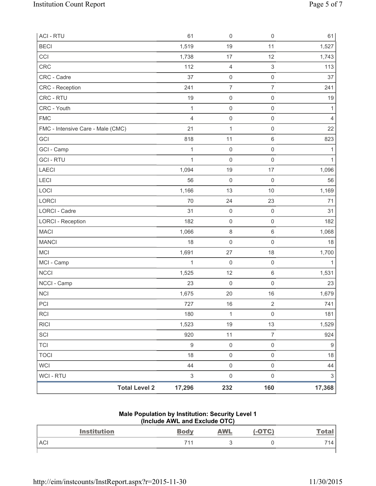| <b>ACI - RTU</b><br><b>BECI</b>   | 61<br>1,519               | $\mathsf{O}\xspace$<br>19 | $\mathsf{O}\xspace$<br>11 | 61<br>1,527               |
|-----------------------------------|---------------------------|---------------------------|---------------------------|---------------------------|
| CCI                               | 1,738                     | 17                        | 12                        | 1,743                     |
| CRC                               | 112                       | $\overline{4}$            | $\mathsf 3$               | 113                       |
| CRC - Cadre                       | 37                        | $\mathsf 0$               | $\mathsf{O}\xspace$       | 37                        |
| CRC - Reception                   | 241                       | $\overline{\mathcal{I}}$  | $\overline{7}$            | 241                       |
| CRC - RTU                         | 19                        | $\mathbf 0$               | $\mathsf{O}\xspace$       | 19                        |
| CRC - Youth                       | 1                         | $\mathsf 0$               | $\mathsf{O}\xspace$       | 1                         |
| <b>FMC</b>                        | $\overline{4}$            | $\mathbf 0$               | $\mathsf 0$               | $\overline{4}$            |
| FMC - Intensive Care - Male (CMC) | 21                        | $\mathbf{1}$              | $\mathsf{O}\xspace$       | 22                        |
| GCI                               | 818                       | 11                        | 6                         | 823                       |
| GCI - Camp                        | 1                         | $\mathbf 0$               | $\mathsf{O}\xspace$       | 1                         |
| <b>GCI-RTU</b>                    | 1                         | $\mathsf 0$               | $\mathsf 0$               | $\mathbf{1}$              |
| <b>LAECI</b>                      | 1,094                     | 19                        | 17                        | 1,096                     |
| LECI                              | 56                        | $\mathbf 0$               | $\mathsf 0$               | 56                        |
| LOCI                              | 1,166                     | 13                        | 10                        | 1,169                     |
| LORCI                             | 70                        | 24                        | 23                        | 71                        |
| LORCI - Cadre                     | 31                        | $\mathsf 0$               | $\mathsf{O}\xspace$       | 31                        |
| <b>LORCI - Reception</b>          | 182                       | $\mathsf 0$               | $\mathsf{O}\xspace$       | 182                       |
| <b>MACI</b>                       | 1,066                     | $\,8\,$                   | 6                         | 1,068                     |
| <b>MANCI</b>                      | 18                        | $\mathbf 0$               | $\mathsf 0$               | 18                        |
| <b>MCI</b>                        | 1,691                     | 27                        | 18                        | 1,700                     |
| MCI - Camp                        | 1                         | $\mathbf 0$               | $\mathsf{O}\xspace$       | $\mathbf{1}$              |
| <b>NCCI</b>                       | 1,525                     | 12                        | 6                         | 1,531                     |
| NCCI - Camp                       | 23                        | $\mathsf{O}\xspace$       | $\mathsf 0$               | 23                        |
| <b>NCI</b>                        | 1,675                     | 20                        | 16                        | 1,679                     |
| PCI                               | 727                       | 16                        | $\overline{2}$            | 741                       |
| <b>RCI</b>                        | 180                       | $\mathbf{1}$              | $\mathsf{O}\xspace$       | 181                       |
| <b>RICI</b>                       | 1,523                     | 19                        | 13                        | 1,529                     |
| SCI                               | 920                       | 11                        | $\overline{7}$            | 924                       |
| <b>TCI</b>                        | $\boldsymbol{9}$          | $\mathsf{O}\xspace$       | $\mathsf{O}\xspace$       | 9                         |
| <b>TOCI</b>                       | 18                        | $\mathsf{O}$              | $\mathsf{O}\xspace$       | 18                        |
| <b>WCI</b>                        | 44                        | $\mathsf 0$               | $\mathsf{O}\xspace$       | 44                        |
| <b>WCI - RTU</b>                  | $\ensuremath{\mathsf{3}}$ | $\mathsf{O}\xspace$       | $\mathsf{O}\xspace$       | $\ensuremath{\mathsf{3}}$ |
| <b>Total Level 2</b>              | 17,296                    | 232                       | 160                       | 17,368                    |

#### **Male Population by Institution: Security Level 1 (Include AWL and Exclude OTC)**

| <b>Institution</b> | <b>Body</b> | <b>AWL</b> | $-OTC$ | <b>Total</b> |
|--------------------|-------------|------------|--------|--------------|
| <b>ACI</b>         | 711         |            |        | 714.         |
|                    |             |            |        |              |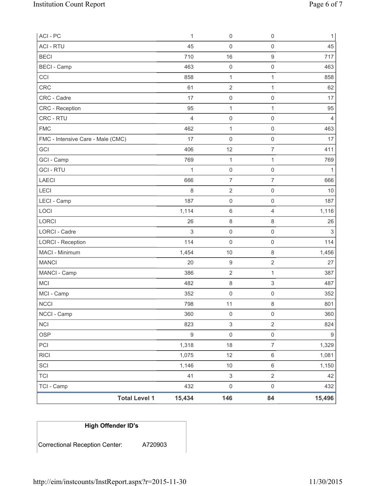| ACI - PC                          | 1              | 0                         | $\mathsf 0$         | $\mathbf{1}$   |
|-----------------------------------|----------------|---------------------------|---------------------|----------------|
| <b>ACI - RTU</b>                  | 45             | $\mathsf 0$               | $\mathsf{O}\xspace$ | 45             |
| <b>BECI</b>                       | 710            | 16                        | $\mathsf g$         | 717            |
| <b>BECI - Camp</b>                | 463            | $\mathsf 0$               | $\mathsf{O}\xspace$ | 463            |
| CCI                               | 858            | 1                         | $\mathbf{1}$        | 858            |
| <b>CRC</b>                        | 61             | $\sqrt{2}$                | $\mathbf{1}$        | 62             |
| CRC - Cadre                       | 17             | 0                         | $\mathsf 0$         | 17             |
| CRC - Reception                   | 95             | $\mathbf{1}$              | $\mathbf{1}$        | 95             |
| CRC - RTU                         | $\overline{4}$ | 0                         | $\mathsf{O}\xspace$ | $\overline{4}$ |
| <b>FMC</b>                        | 462            | 1                         | $\mathsf{O}\xspace$ | 463            |
| FMC - Intensive Care - Male (CMC) | 17             | 0                         | $\mathsf 0$         | 17             |
| GCI                               | 406            | 12                        | $\boldsymbol{7}$    | 411            |
| GCI - Camp                        | 769            | $\mathbf{1}$              | $\mathbf{1}$        | 769            |
| <b>GCI-RTU</b>                    | 1              | $\mathsf 0$               | $\mathsf 0$         | $\mathbf{1}$   |
| <b>LAECI</b>                      | 666            | $\overline{7}$            | $\overline{7}$      | 666            |
| LECI                              | 8              | $\sqrt{2}$                | $\mathsf 0$         | 10             |
| LECI - Camp                       | 187            | $\mathsf 0$               | $\mathsf{O}\xspace$ | 187            |
| LOCI                              | 1,114          | 6                         | $\overline{4}$      | 1,116          |
| LORCI                             | 26             | 8                         | $\,8\,$             | 26             |
| <b>LORCI - Cadre</b>              | 3              | 0                         | $\mathsf{O}\xspace$ | 3              |
| <b>LORCI - Reception</b>          | 114            | $\mathsf{O}\xspace$       | $\mathsf 0$         | 114            |
| MACI - Minimum                    | 1,454          | 10                        | $\,8\,$             | 1,456          |
| <b>MANCI</b>                      | 20             | $\boldsymbol{9}$          | $\mathbf 2$         | 27             |
| MANCI - Camp                      | 386            | $\overline{2}$            | $\mathbf{1}$        | 387            |
| <b>MCI</b>                        | 482            | 8                         | $\mathsf 3$         | 487            |
| MCI - Camp                        | 352            | $\boldsymbol{0}$          | $\mathsf{O}\xspace$ | 352            |
| <b>NCCI</b>                       | 798            | 11                        | 8                   | 801            |
| NCCI - Camp                       | 360            | $\mathsf 0$               | $\mathsf 0$         | 360            |
| <b>NCI</b>                        | 823            | $\ensuremath{\mathsf{3}}$ | $\overline{2}$      | 824            |
| <b>OSP</b>                        | $\mathsf g$    | $\mathsf{O}\xspace$       | $\mathsf 0$         | $9\,$          |
| PCI                               | 1,318          | 18                        | $\overline{7}$      | 1,329          |
| <b>RICI</b>                       | 1,075          | 12                        | $\,6\,$             | 1,081          |
| SCI                               | 1,146          | $10$                      | $\,6\,$             | 1,150          |
| <b>TCI</b>                        | 41             | $\ensuremath{\mathsf{3}}$ | $\mathbf 2$         | 42             |
| TCI - Camp                        | 432            | $\mathsf{O}\xspace$       | $\mathsf 0$         | 432            |
| <b>Total Level 1</b>              | 15,434         | 146                       | 84                  | 15,496         |

# **High Offender ID's**

Correctional Reception Center: A720903